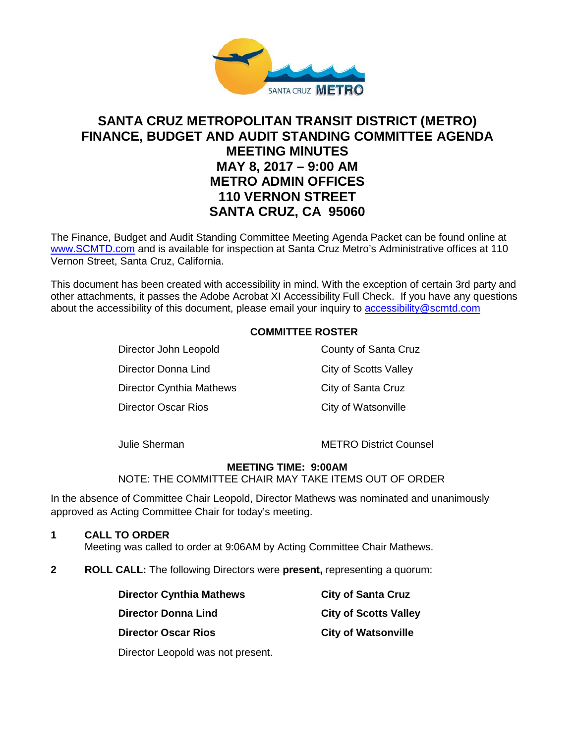

# **SANTA CRUZ METROPOLITAN TRANSIT DISTRICT (METRO) FINANCE, BUDGET AND AUDIT STANDING COMMITTEE AGENDA MEETING MINUTES MAY 8, 2017 – 9:00 AM METRO ADMIN OFFICES 110 VERNON STREET SANTA CRUZ, CA 95060**

The Finance, Budget and Audit Standing Committee Meeting Agenda Packet can be found online at [www.SCMTD.com](http://www.scmtd.com/) and is available for inspection at Santa Cruz Metro's Administrative offices at 110 Vernon Street, Santa Cruz, California.

This document has been created with accessibility in mind. With the exception of certain 3rd party and other attachments, it passes the Adobe Acrobat XI Accessibility Full Check. If you have any questions about the accessibility of this document, please email your inquiry to [accessibility@scmtd.com](mailto:accessibility@scmtd.com)

# **COMMITTEE ROSTER**

Director John Leopold County of Santa Cruz Director Donna Lind City of Scotts Valley Director Cynthia Mathews City of Santa Cruz Director Oscar Rios **City of Watsonville** 

Julie Sherman METRO District Counsel

### **MEETING TIME: 9:00AM**

NOTE: THE COMMITTEE CHAIR MAY TAKE ITEMS OUT OF ORDER

In the absence of Committee Chair Leopold, Director Mathews was nominated and unanimously approved as Acting Committee Chair for today's meeting.

# **1 CALL TO ORDER**

Meeting was called to order at 9:06AM by Acting Committee Chair Mathews.

**2 ROLL CALL:** The following Directors were **present,** representing a quorum:

| <b>Director Cynthia Mathews</b> | <b>City of Santa Cruz</b>    |
|---------------------------------|------------------------------|
| <b>Director Donna Lind</b>      | <b>City of Scotts Valley</b> |
| <b>Director Oscar Rios</b>      | <b>City of Watsonville</b>   |

Director Leopold was not present.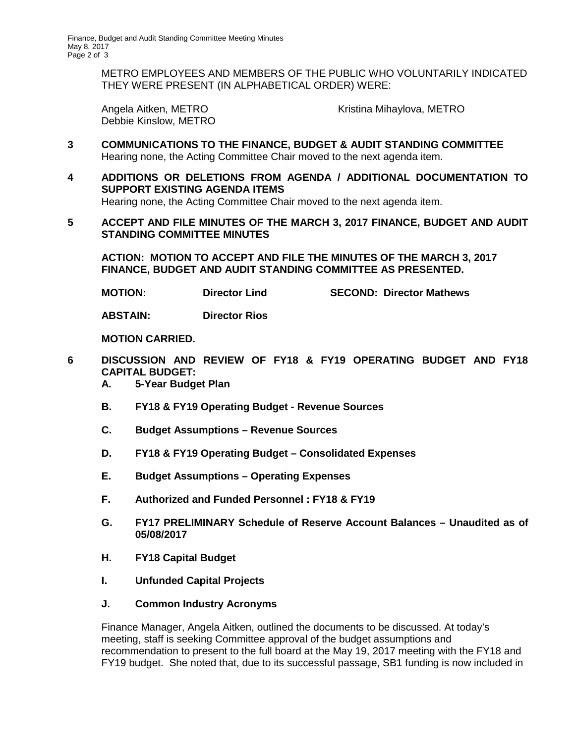METRO EMPLOYEES AND MEMBERS OF THE PUBLIC WHO VOLUNTARILY INDICATED THEY WERE PRESENT (IN ALPHABETICAL ORDER) WERE:

Debbie Kinslow, METRO

Angela Aitken, METRO **Kristina Mihaylova, METRO** 

- **3 COMMUNICATIONS TO THE FINANCE, BUDGET & AUDIT STANDING COMMITTEE** Hearing none, the Acting Committee Chair moved to the next agenda item.
- **4 ADDITIONS OR DELETIONS FROM AGENDA / ADDITIONAL DOCUMENTATION TO SUPPORT EXISTING AGENDA ITEMS** Hearing none, the Acting Committee Chair moved to the next agenda item.
- **5 ACCEPT AND FILE MINUTES OF THE MARCH 3, 2017 FINANCE, BUDGET AND AUDIT STANDING COMMITTEE MINUTES**

**ACTION: MOTION TO ACCEPT AND FILE THE MINUTES OF THE MARCH 3, 2017 FINANCE, BUDGET AND AUDIT STANDING COMMITTEE AS PRESENTED.** 

**MOTION: Director Lind SECOND: Director Mathews**

**ABSTAIN: Director Rios**

**MOTION CARRIED.**

- **6 DISCUSSION AND REVIEW OF FY18 & FY19 OPERATING BUDGET AND FY18 CAPITAL BUDGET:**
	- **A. 5-Year Budget Plan**
	- **B. FY18 & FY19 Operating Budget Revenue Sources**
	- **C. Budget Assumptions Revenue Sources**
	- **D. FY18 & FY19 Operating Budget Consolidated Expenses**
	- **E. Budget Assumptions Operating Expenses**
	- **F. Authorized and Funded Personnel : FY18 & FY19**
	- **G. FY17 PRELIMINARY Schedule of Reserve Account Balances Unaudited as of 05/08/2017**
	- **H. FY18 Capital Budget**
	- **I. Unfunded Capital Projects**
	- **J. Common Industry Acronyms**

Finance Manager, Angela Aitken, outlined the documents to be discussed. At today's meeting, staff is seeking Committee approval of the budget assumptions and recommendation to present to the full board at the May 19, 2017 meeting with the FY18 and FY19 budget. She noted that, due to its successful passage, SB1 funding is now included in